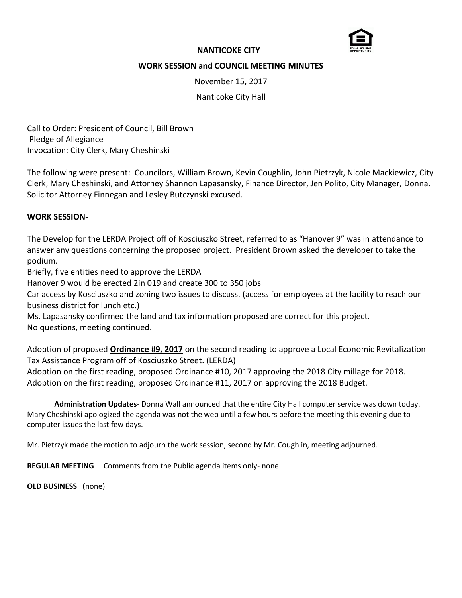

# **NANTICOKE CITY**

# **WORK SESSION and COUNCIL MEETING MINUTES**

November 15, 2017

Nanticoke City Hall

Call to Order: President of Council, Bill Brown Pledge of Allegiance Invocation: City Clerk, Mary Cheshinski

The following were present: Councilors, William Brown, Kevin Coughlin, John Pietrzyk, Nicole Mackiewicz, City Clerk, Mary Cheshinski, and Attorney Shannon Lapasansky, Finance Director, Jen Polito, City Manager, Donna. Solicitor Attorney Finnegan and Lesley Butczynski excused.

## **WORK SESSION-**

The Develop for the LERDA Project off of Kosciuszko Street, referred to as "Hanover 9" was in attendance to answer any questions concerning the proposed project. President Brown asked the developer to take the podium.

Briefly, five entities need to approve the LERDA

Hanover 9 would be erected 2in 019 and create 300 to 350 jobs

Car access by Kosciuszko and zoning two issues to discuss. (access for employees at the facility to reach our business district for lunch etc.)

Ms. Lapasansky confirmed the land and tax information proposed are correct for this project. No questions, meeting continued.

Adoption of proposed **Ordinance #9, 2017** on the second reading to approve a Local Economic Revitalization Tax Assistance Program off of Kosciuszko Street. (LERDA)

Adoption on the first reading, proposed Ordinance #10, 2017 approving the 2018 City millage for 2018. Adoption on the first reading, proposed Ordinance #11, 2017 on approving the 2018 Budget.

**Administration Updates**- Donna Wall announced that the entire City Hall computer service was down today. Mary Cheshinski apologized the agenda was not the web until a few hours before the meeting this evening due to computer issues the last few days.

Mr. Pietrzyk made the motion to adjourn the work session, second by Mr. Coughlin, meeting adjourned.

**REGULAR MEETING** Comments from the Public agenda items only- none

**OLD BUSINESS (**none)